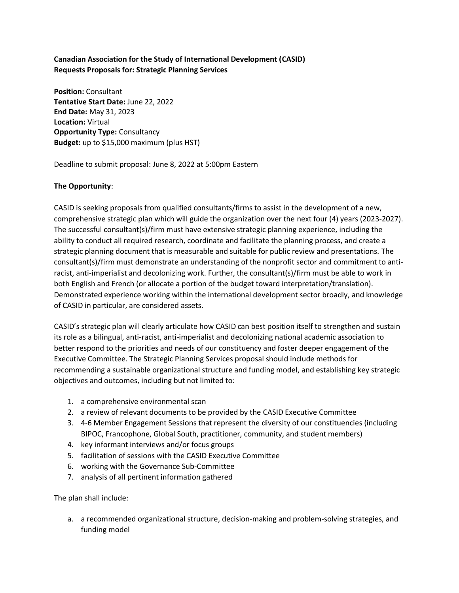# **Canadian Association for the Study of International Development (CASID) Requests Proposals for: Strategic Planning Services**

**Position:** Consultant **Tentative Start Date:** June 22, 2022 **End Date:** May 31, 2023 **Location:** Virtual **Opportunity Type:** Consultancy **Budget:** up to \$15,000 maximum (plus HST)

Deadline to submit proposal: June 8, 2022 at 5:00pm Eastern

## **The Opportunity**:

CASID is seeking proposals from qualified consultants/firms to assist in the development of a new, comprehensive strategic plan which will guide the organization over the next four (4) years (2023-2027). The successful consultant(s)/firm must have extensive strategic planning experience, including the ability to conduct all required research, coordinate and facilitate the planning process, and create a strategic planning document that is measurable and suitable for public review and presentations. The consultant(s)/firm must demonstrate an understanding of the nonprofit sector and commitment to antiracist, anti-imperialist and decolonizing work. Further, the consultant(s)/firm must be able to work in both English and French (or allocate a portion of the budget toward interpretation/translation). Demonstrated experience working within the international development sector broadly, and knowledge of CASID in particular, are considered assets.

CASID's strategic plan will clearly articulate how CASID can best position itself to strengthen and sustain its role as a bilingual, anti-racist, anti-imperialist and decolonizing national academic association to better respond to the priorities and needs of our constituency and foster deeper engagement of the Executive Committee. The Strategic Planning Services proposal should include methods for recommending a sustainable organizational structure and funding model, and establishing key strategic objectives and outcomes, including but not limited to:

- 1. a comprehensive environmental scan
- 2. a review of relevant documents to be provided by the CASID Executive Committee
- 3. 4-6 Member Engagement Sessions that represent the diversity of our constituencies (including BIPOC, Francophone, Global South, practitioner, community, and student members)
- 4. key informant interviews and/or focus groups
- 5. facilitation of sessions with the CASID Executive Committee
- 6. working with the Governance Sub-Committee
- 7. analysis of all pertinent information gathered

The plan shall include:

a. a recommended organizational structure, decision-making and problem-solving strategies, and funding model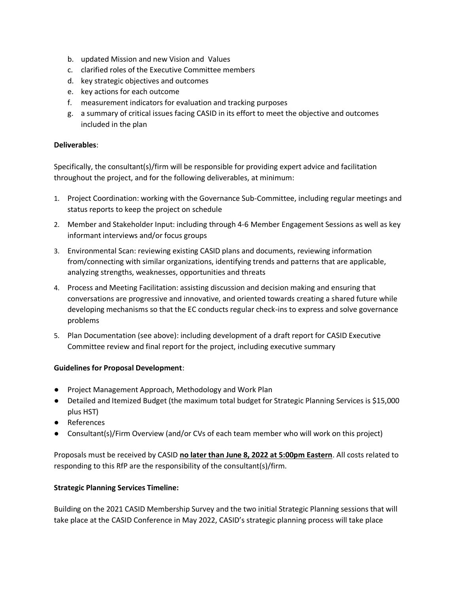- b. updated Mission and new Vision and Values
- c. clarified roles of the Executive Committee members
- d. key strategic objectives and outcomes
- e. key actions for each outcome
- f. measurement indicators for evaluation and tracking purposes
- g. a summary of critical issues facing CASID in its effort to meet the objective and outcomes included in the plan

#### **Deliverables**:

Specifically, the consultant(s)/firm will be responsible for providing expert advice and facilitation throughout the project, and for the following deliverables, at minimum:

- 1. Project Coordination: working with the Governance Sub-Committee, including regular meetings and status reports to keep the project on schedule
- 2. Member and Stakeholder Input: including through 4-6 Member Engagement Sessions as well as key informant interviews and/or focus groups
- 3. Environmental Scan: reviewing existing CASID plans and documents, reviewing information from/connecting with similar organizations, identifying trends and patterns that are applicable, analyzing strengths, weaknesses, opportunities and threats
- 4. Process and Meeting Facilitation: assisting discussion and decision making and ensuring that conversations are progressive and innovative, and oriented towards creating a shared future while developing mechanisms so that the EC conducts regular check-ins to express and solve governance problems
- 5. Plan Documentation (see above): including development of a draft report for CASID Executive Committee review and final report for the project, including executive summary

#### **Guidelines for Proposal Development**:

- Project Management Approach, Methodology and Work Plan
- Detailed and Itemized Budget (the maximum total budget for Strategic Planning Services is \$15,000 plus HST)
- References
- Consultant(s)/Firm Overview (and/or CVs of each team member who will work on this project)

Proposals must be received by CASID **no later than June 8, 2022 at 5:00pm Eastern**. All costs related to responding to this RfP are the responsibility of the consultant(s)/firm.

#### **Strategic Planning Services Timeline:**

Building on the 2021 CASID Membership Survey and the two initial Strategic Planning sessions that will take place at the CASID Conference in May 2022, CASID's strategic planning process will take place